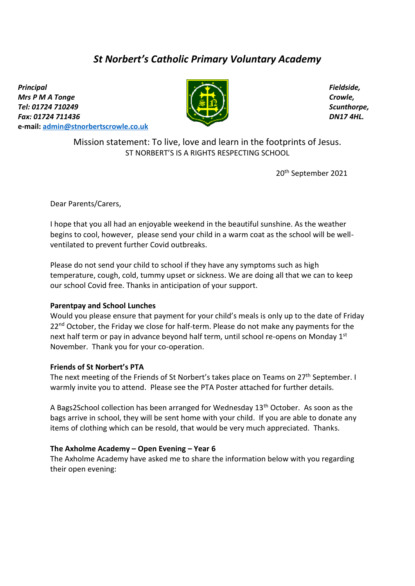# *St Norbert's Catholic Primary Voluntary Academy*

*Principal Mrs P M A Tonge Tel: 01724 710249 Fax: 01724 711436*  **e-mail: [admin@stnorbertscrowle.co.uk](mailto:admin@stnorbertscrowle.co.uk)**



*Fieldside, Crowle, Scunthorpe, DN17 4HL.*

Mission statement: To live, love and learn in the footprints of Jesus. ST NORBERT'S IS A RIGHTS RESPECTING SCHOOL

20th September 2021

Dear Parents/Carers,

I hope that you all had an enjoyable weekend in the beautiful sunshine. As the weather begins to cool, however, please send your child in a warm coat as the school will be wellventilated to prevent further Covid outbreaks.

Please do not send your child to school if they have any symptoms such as high temperature, cough, cold, tummy upset or sickness. We are doing all that we can to keep our school Covid free. Thanks in anticipation of your support.

### **Parentpay and School Lunches**

Would you please ensure that payment for your child's meals is only up to the date of Friday 22<sup>nd</sup> October, the Friday we close for half-term. Please do not make any payments for the next half term or pay in advance beyond half term, until school re-opens on Monday 1<sup>st</sup> November. Thank you for your co-operation.

### **Friends of St Norbert's PTA**

The next meeting of the Friends of St Norbert's takes place on Teams on 27<sup>th</sup> September. I warmly invite you to attend. Please see the PTA Poster attached for further details.

A Bags2School collection has been arranged for Wednesday 13th October. As soon as the bags arrive in school, they will be sent home with your child. If you are able to donate any items of clothing which can be resold, that would be very much appreciated. Thanks.

### **The Axholme Academy – Open Evening – Year 6**

The Axholme Academy have asked me to share the information below with you regarding their open evening: